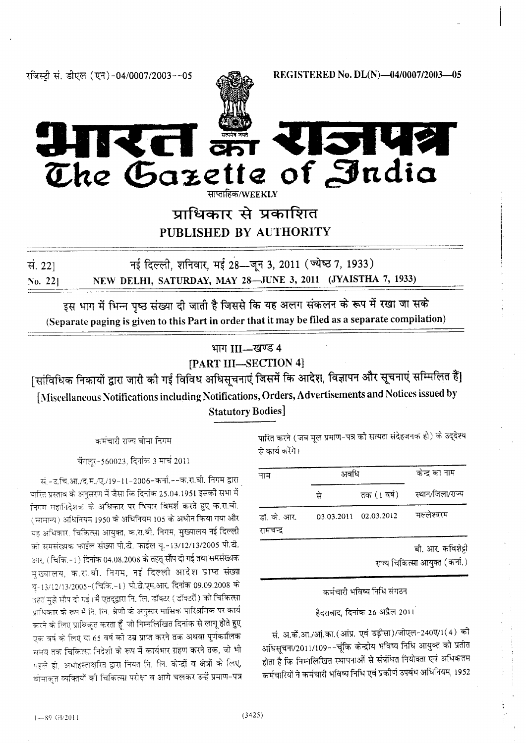रजिस्ट्री सं. डीएल (एन)-04/0007/2003--05

REGISTERED No. DL(N)-04/0007/2003-05



# **SIVA** The Gazette of India

साप्ताहिक/WEEKLY

प्राधिकार से प्रकाशित PUBLISHED BY AUTHORITY

सं.  $22$ ] No. 221

नई दिल्ली, शनिवार, मई 28-बून 3, 2011 (ज्येष्ठ 7, 1933) NEW DELHI, SATURDAY, MAY 28-JUNE 3, 2011 (JYAISTHA 7, 1933)

इस भाग में भिन्न पृष्ठ संख्या दी जाती है जिससे कि यह अलग संकलन के रूप में रखा जा सके (Separate paging is given to this Part in order that it may be filed as a separate compilation)

## भाग III-खण्ड 4

[PART III-SECTION 4]

[सांविधिक निकायों द्वारा जारी को गई विविध अधिसूचनाएं जिसमें कि आदेश, विज्ञापन और सूचनाएं सम्मिलित हैं] [Miscellaneous Notifications including Notifications, Orders, Advertisements and Notices issued by **Statutory Bodies**]

कमंचारी राज्य बीमा निगम

बेंगलर-560023, दिनांक 3 मार्च 2011

सं.-उ.चि.आ./द.म./ए./19-11-2006-कर्ना.--क.रा.बी. निगम द्वारा पारित प्रस्ताव के अनुसरण में जैसा कि दिनांक 25.04.1951 इसकी सभा में निगम महानिदेशक के अधिकार पर विचार विमर्श करते हुए क.रा.बी. ( सामान्य) अधिनियम 1950 के अधिनियम 105 के अधीन किया गया और यह अधिकार, चिकित्सा आयुक्त, क.रा.बी. निगम, मुख्यालय नई दिल्ली को समसंख्यक फाईल संख्या पी.टी. फाईल यू.-13/12/13/2005 पी.टी. आर. (चिकि.-1) दिनांक 04.08.2008 के तहत् सौंप दी गई तथा समसंख्यक मुख्यालय, क.रा.बी. निगम, नई दिल्ली आदेश प्राप्त संख्या यू-13/12/13/2005-(चिकि.-1) पी.टी.एम.आर. दिनांक 09.09.2008 के तहतं मुझे सौप दी गई। मैं एतद्द्वारा नि. लि. डॉक्टर (डॉक्टरों) को चिकित्सा प्राधिकार के रूप में नि. लि. श्रेणी के अनुसार मासिक पारिश्रमिक पर कार्य करने के लिए प्राधिकृत करता हूँ जो निम्नलिखित दिनांक से लागू होते हुए एक वर्ष के लिए या 65 वर्ष को उम्र प्राप्त करने तक अथवा पूर्णकालिक समय तक चिकित्सा निदेशी के रूप में कार्यभार ग्रहण करने तक, जो भी पहले हो, अधोहस्ताक्षरित द्वारा नियत नि. लि. केन्द्रों व क्षेत्रों के लिए, बीमाकृत व्यक्तियों की चिकित्सा परीक्षा व आगे चलकर उन्हें प्रमाण-पत्र पारित करने (जब मूल प्रमाण-पत्र की सत्यता संदेहजनक हो) के उद्देश्य से कार्य करेंगे।

| नाम                      | अवधि       | केन्द्र का नाम |                              |
|--------------------------|------------|----------------|------------------------------|
|                          | से         |                | तक (1 वर्ष) स्थान/जिला/राज्य |
| डॉ. के. आर.<br>रामचन्द्र | 03.03.2011 | 02.03.2012     | मल्लेश्वरम                   |

बी. आर. कविशेट्टी

राज्य चिकित्सा आयुक्त (कर्ना.)

## कर्मचारी भविष्य निधि संगठन

### हैदराबाद, दिनांक 26 अप्रैल 2011

सं. अ.कें.आ./आं.का.(आंप्र. एवं उड़ीसा)/जीएल-240ए/1(4) की अधिसूचना/2011/109--चूंकि केन्द्रीय भविष्य निधि आयुक्त को प्रतीत होता है कि निम्नलिखित स्थापनाओं से संबंधित नियोक्ता एवं अधिकतम कर्मचारियों ने कर्मचारी भविष्य निधि एवं प्रकोणं उपबंध अधिनियम, 1952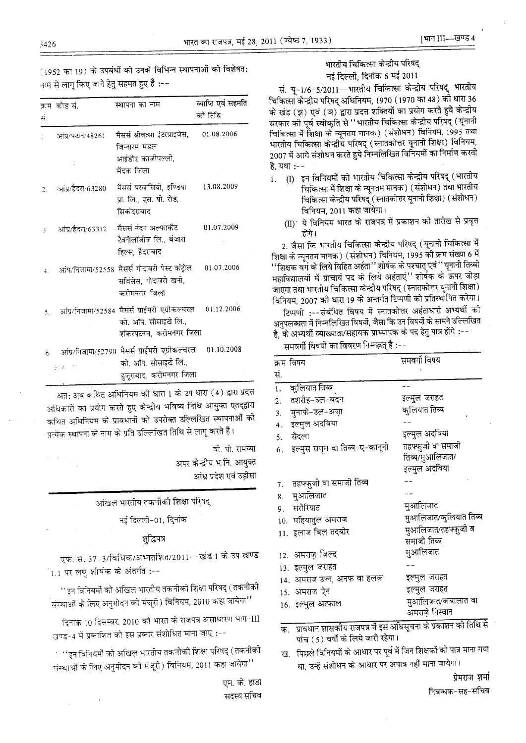(1952 का 19) के उपबंधों को उनके विभिन्न स्थापनाओं को विशेषत: नाम से लागू किए जाने हेतु सहमत हुए हैं :--

| ਸ਼ੰ, | क्रम कोड सं.                                  | स्थापना का नाम                                                                                    | व्याप्ति एवं सहमति<br>को तिथि |
|------|-----------------------------------------------|---------------------------------------------------------------------------------------------------|-------------------------------|
|      | आंप्र/पटान/48261                              | मैसर्स श्रीवत्सा इंटरप्राइजेस,<br>जिन्नारम मंडल<br>आईडीए काजीपल्ली,<br>मेंदक जिला                 | 01.08.2006                    |
| 2.   | आंप्र/हैदरा/63280                             | मैसर्स परवासियो, इण्डिया<br>प्रा. लि., एस. पी. रोड,<br>सिकंदराबाद                                 | 13.08.2009                    |
| 3.   | आंप्र/हैदरा/63312                             | मैसर्स नंदन अल्फाकैट<br>टैक्नोलॉजीज लि., बंजारा<br>हिल्स, हैदराबाद                                | 01.07.2009                    |
|      |                                               | आंप/निजामा/52558 मैसर्स गोदावरी पेस्ट कट्टोल<br>सर्विसंस, गोदावरी खनी,<br>करोमनगर जिला            | 01.07.2006                    |
| 5.   |                                               | आंप्र/निजामा/52584 मैसर्स प्राईमरी एग्रीकल्चरल<br>को. ऑप. सोसाइटी लि.,<br>शंकरपटनम, करोमनगर जिला  | 01.12.2006                    |
| 6.   | $\frac{1}{2}$ , $\frac{1}{2}$ , $\frac{1}{2}$ | आंप्र/निजामा/52790 मैसर्स प्राईमरी एग्रीकल्चरल<br>को, ऑप. सोसाइटी लि.,<br>हुजूराबाद, करीमनगर जिला | 01.10.2008                    |

अत: अब कथित अधिनियम की धारा 1 के उप धारा (4) द्वारा प्रदत्त अधिकारों का प्रयोग करते हुए केन्द्रीय भविष्य निधि आयुक्त एतद्द्वारा कथित अधिनियम के प्रावधानों को उपरोक्त उल्लिखित स्थापनाओं को प्रत्येक स्थापना के नाम के प्रति उल्लिखित तिथि से लागू करते हैं।

> वी. पी. रामय्या अपर केन्द्रीय भ.नि. आयुक्त आंध्र प्रदेश एवं उड़ीसा

> > अखिल भारतीय तकनीकी शिक्षा परिषद्

नई दिल्ली-01, दिनांक

## গৃদ্ধিपत्र

एफ. सं. 37-3/विधिक/अभातशित/2011--खंड 1 के उप खण्ड  $\mathbb{I}_{1.1}$  पर लघु शीर्षक के अंतर्गत :--

''इन विनियमों को अखिल भारतीय तकनीकी शिक्षा परिषद् (तकनीकी .<br>.संस्थाओं के लिए अनुमोदन की मंजूरी) विनियम, 2010 कहा जायेगा''

दिनांक 10 दिसम्बर, 2010 को भारत के राजपत्र असाधारण भाग-III खण्ड-4 में प्रकाशित को इस प्रकार संशोधित माना जाए :--

ं ''इन विनियमों को अखिल भारतीय तकनीकी शिक्षा परिषद् (तकनीकी संस्थाओं के लिए अनुमोदन को मंजूरी) विनियम, 2011 कहा जायेगा''

> एम. के. हाडा सदस्य सचिव

## भारतीय चिकित्सा केन्द्रीय परिषद नई दिल्ली, दिनांक 6 मई 2011

सं. यू-1/6-5/2011--भारतीय चिकित्सा केन्द्रीय परिषद्, भारतीय चिकित्सा केन्द्रीय परिषद् अधिनियम, 1970 (1970 का 48) को धारा 36 के खंड (झ) एवं (ञ) द्वारा प्रदत्त शक्तियों का प्रयोग करते हुये केन्द्रीय सरकार को पूर्व स्वीकृति से ''भारतीय चिकित्सा केन्द्रीय परिषद् (यूनानी चिकित्सा में शिक्षा के न्यूनतम मानक) (संशोधन) विनियम, 1995 तथा भारतीय चिकित्सा केन्द्रीय परिषद् (स्नातकोत्तर यूनानी शिक्षा) विनियम, 2007 में आगे संशोधन करते हुये निम्नलिखित विनियमों का निर्माण करती है. यथा :--

- 1. (I) इन विनियमों को भारतीय चिकित्सा केन्द्रीय परिषद् (भारतीय चिकित्सा में शिक्षा के न्यूनतम मानक) (संशोधन) तथा भारतीय चिकित्सा केन्द्रीय परिषद् (स्नातकोत्तर यूनानी शिक्षा) (संशोधन) विनियम, 2011 कहा जायेगा।
	- (II)′ ये विनियम भारत के राजपत्र में प्रकाशन को तारीख से प्रवृत्त होंगे।

2. जैसा कि भारतीय चिकित्सा केन्द्रीय परिषद् (यूनानी चिकित्सा में शिक्षा के न्यूनतम मानक) (संशोधन) विनियम, 1995 को क्रम संख्या 6 में ''शिक्षक वर्ग के लिये विहित अर्हता'' शीर्षक के पश्चात् एवं '' यूनानी तिब्बी महाविद्यालयों में प्राचार्य पद के लिये अहंताएं'' शीर्षक के ऊपर जोड़ा जाएंगा तथा भारतीय चिकित्सा केन्द्रीय परिषद् (स्नातकोत्तर यूनानी शिक्षा) विनियम, 2007 की धारा 19 के अन्तर्गत टिप्पणी को प्रतिस्थापित करेगा। टिप्पणी :--संबंधित विषय में स्नातकोत्तर अर्हताधारी अभ्यर्थी को अनुपलब्धता में निम्नलिखित विषयों, जैसा कि उन विषयों के सामने उल्लिखित

है, के अभ्यर्थी व्याख्याता/सहायक प्राध्यापक के पद हेतु पात्र होंगे :--

समवर्गी विषयों का विवरण निम्नलत् है :--

| क्रम विषय                           | समवर्गी विषय           |
|-------------------------------------|------------------------|
| सं.                                 |                        |
| 1. कुलियात तिब्ब                    |                        |
| 2. तशरीह-उल-बदन                     | इल्मुल जराहत           |
| 3. मुनाफे-उल-अज़ा                   | कुलियात तिब्ब          |
| इल्मुल अदविया<br>4.                 |                        |
| सैदला<br>5.                         | इल्मुल अदविया          |
| इल्मुस समूम वा तिब्ब-ए-कानूनी<br>6. | तहफ्फ़ुजो वा समाजी     |
|                                     | तिब्ब/मुआलिजात/        |
|                                     | इल्मुल अदविया          |
| तहफ्फ़ुजी वा समाजी तिब्ब<br>7.      |                        |
| मुआलिजात<br>8.                      |                        |
| 9. सरीरियात                         | मुआलिजात               |
| 10. महियातुल अमराज                  | मुआलिजात/कुलियात तिब्ब |
| 11. इलाज बिल तदबीर                  | मुआलिजात/तहफ्फुजी व    |
|                                     | समाजी तिब्ब            |
| 12. अमराज़ जिल्द                    | मुआलिजात               |
| 13. इल्मुल जराहत                    |                        |
| 14. अमराज उज्न, अनफ वा हलक          | इल्मुल जराहत           |
| 15. अमराज ऐन                        | इल्मुल जराहत           |
| 16. इल्मुल अत्फाल                   | मुआलिजात/कबालात वा     |
|                                     | अमराज़े निस्वान        |

क. प्रावधान शासकीय राजपत्र में इस अधिसूचना के प्रकाशन की तिथि से पांच (5) घर्षों के लिये जारी रहेगा।

ख. पिछले विनियमों के आधार पर पूर्व में जिन शिक्षकों को पात्र माना गया था, उन्हें संशोधन के आधार पर अपात्र नहीं माना जायेगा।

प्रेमराज शर्मा

निबन्धक-सह-सचिव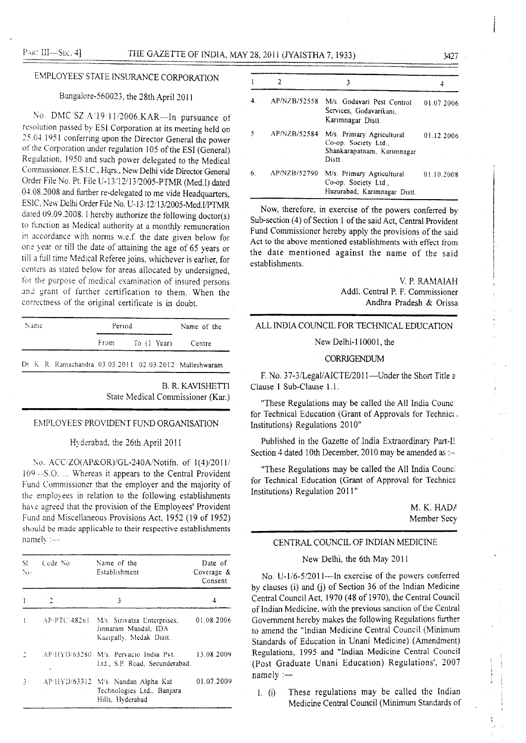## EMPLOYEES' STATE INSURANCE CORPORATION

## Bangalore-560023, the 28th April 2011

No. DMC/SZ:A/19/11/2006.KAR-In pursuance of resolution passed by ESI Corporation at its meeting held on 25.04.1951 conferring upon the Director General the power of the Corporation under regulation 105 of the ESI (General) Regulation, 1950 and such power delegated to the Medical Commissioner, E.S.I.C., Hqrs., New Delhi vide Director General Order File No. Pt. File U-13/12/13/2005-PTMR (Med.I) dated 04.08.2008 and further re-delegated to me vide Headquarters, ESIC, New Delhi Order File No. U-13/12/13/2005-Med.I/PTMR dated 09.09.2008. I hereby authorize the following doctor(s) to function as Medical authority at a monthly remuneration in accordance with norms w.e.f. the date given below for one year or till the date of attaining the age of 65 years or till a full time Medical Referee joins, whichever is earlier, for centers as stated below for areas allocated by undersigned, for the purpose of medical examination of insured persons and grant of further certification to them. When the correctness of the original certificate is in doubt.

| Name<br>Period |  | Name of the |  |                                                          |
|----------------|--|-------------|--|----------------------------------------------------------|
|                |  |             |  | From To (1 Year) Centre                                  |
|                |  |             |  | Dr. K. R. Ramachandra 03.03.2011 02.03.2012 Malleshwaram |

**B. R. KAVISHETTI** State Medical Commissioner (Kar.)

#### EMPLOYEES' PROVIDENT FUND ORGANISATION

Hyderabad, the 26th April 2011

No. ACC/ZO(AP&OR)/GL-240A/Notifn. of 1(4)/2011/ 109---S.O. ... Whereas it appears to the Central Provident Fund Commissioner that the employer and the majority of the employees in relation to the following establishments have agreed that the provision of the Employees' Provident Fund and Miscellaneous Provisions Act, 1952 (19 of 1952) should be made applicable to their respective establishments namely :-

| SE.<br>No.    | Code No.     | Name of the<br>Establishment                                                         | Date of<br>Coverage &<br>Consent |
|---------------|--------------|--------------------------------------------------------------------------------------|----------------------------------|
|               |              | 3                                                                                    |                                  |
|               | AP/PTC/48261 | M's. Sirivatsa Enterprises,<br>Jinnaram Mandal, IDA<br>Kazipally, Medak Distt.       | 01.08.2006                       |
|               |              | AP/HYD/63280 M/s. Pervacio India Pvt.<br>Ltd., S.P. Road, Secunderabad.              | 13.08.2009                       |
| $\mathcal{L}$ |              | AP/HYD/63312 M/s. Nandan Alpha Kat<br>Technologies Ltd., Banjara<br>Hills, Hyderabad | 01.07.2009                       |

|    | 2            | 3                                                                                         |            |
|----|--------------|-------------------------------------------------------------------------------------------|------------|
|    | AP/NZB/52558 | M/s. Godavari Pest Control<br>Services, Godavarikani.<br>Karimnagar Distt.                | 01.07.2006 |
|    | AP/NZB/52584 | M/s. Primary Agricultural<br>Co-op. Society Ltd.,<br>Shankarapatnam, Karimnagar<br>Distt. | 01.12.2006 |
| 6. | AP/NZB/52790 | M/s. Primary Agricultural<br>Co-op. Society Ltd.,<br>Huzurabad, Karimnagar Distt.         | 01.10.2008 |

Now, therefore, in exercise of the powers conferred by Sub-section (4) of Section 1 of the said Act. Central Provident Fund Commissioner hereby apply the provisions of the said Act to the above mentioned establishments with effect from the date mentioned against the name of the said establishments.

> V. P. RAMAIAH Addl. Central P. F. Commissioner Andhra Pradesh & Orissa

### ALL INDIA COUNCIL FOR TECHNICAL EDUCATION

New Delhi-110001, the

#### CORRIGENDUM

F. No. 37-3/Legal/AICTE/2011—Under the Short Title a Clause 1 Sub-Clause 1.1.

"These Regulations may be called the All India Counci for Technical Education (Grant of Approvals for Technical Institutions) Regulations 2010"

Published in the Gazette of India Extraordinary Part-I! Section 4 dated 10th December, 2010 may be amended as :-

"These Regulations may be called the All India Counci for Technical Education (Grant of Approval for Technica Institutions) Regulation 2011"

> M. K. HADA Member Secy

> > $\ddot{\phantom{1}}$

#### CENTRAL COUNCIL OF INDIAN MEDICINE

## New Delhi, the 6th May 2011

No. U-1/6-5/2011—In exercise of the powers conferred by clauses (i) and (j) of Section 36 of the Indian Medicine Central Council Act, 1970 (48 of 1970), the Central Council of Indian Medicine, with the previous sanction of the Central Government hereby makes the following Regulations further to amend the "Indian Medicine Central Council (Minimum Standards of Education in Unani Medicine) (Amendment) Regulations, 1995 and "Indian Medicine Central Council (Post Graduate Unani Education) Regulations', 2007  $namely :=$ 

1.  $(i)$ These regulations may be called the Indian Medicine Central Council (Minimum Standards of

3427